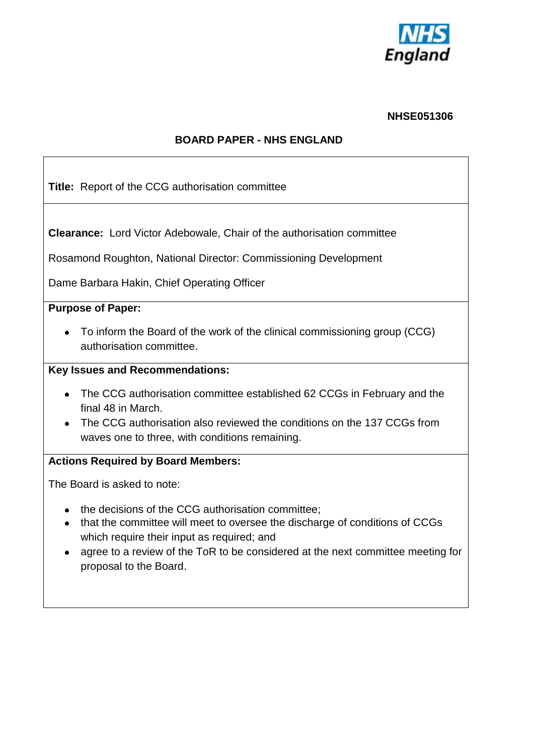

#### **NHSE051306**

# **BOARD PAPER - NHS ENGLAND**

**Title:** Report of the CCG authorisation committee

**Clearance:** Lord Victor Adebowale, Chair of the authorisation committee

Rosamond Roughton, National Director: Commissioning Development

Dame Barbara Hakin, Chief Operating Officer

#### **Purpose of Paper:**

To inform the Board of the work of the clinical commissioning group (CCG) authorisation committee.

#### **Key Issues and Recommendations:**

- The CCG authorisation committee established 62 CCGs in February and the final 48 in March.
- The CCG authorisation also reviewed the conditions on the 137 CCGs from waves one to three, with conditions remaining.

## **Actions Required by Board Members:**

The Board is asked to note:

- the decisions of the CCG authorisation committee:
- that the committee will meet to oversee the discharge of conditions of CCGs which require their input as required; and
- agree to a review of the ToR to be considered at the next committee meeting for proposal to the Board.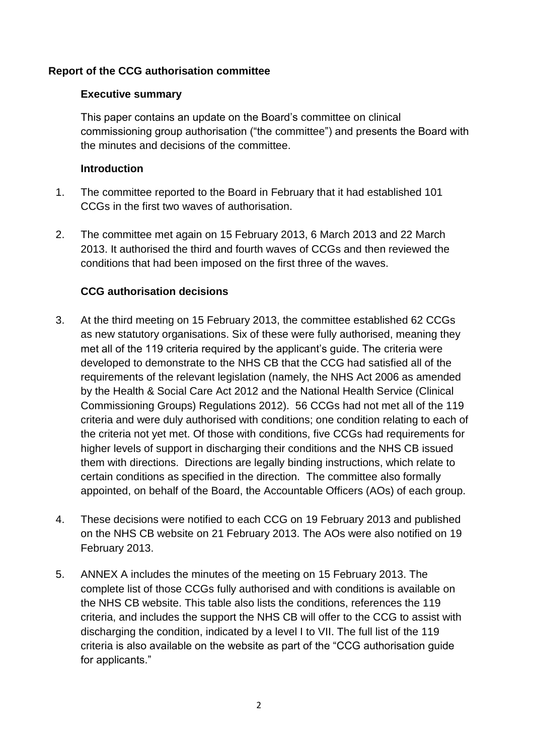## **Report of the CCG authorisation committee**

#### **Executive summary**

This paper contains an update on the Board"s committee on clinical commissioning group authorisation ("the committee") and presents the Board with the minutes and decisions of the committee.

#### **Introduction**

- 1. The committee reported to the Board in February that it had established 101 CCGs in the first two waves of authorisation.
- 2. The committee met again on 15 February 2013, 6 March 2013 and 22 March 2013. It authorised the third and fourth waves of CCGs and then reviewed the conditions that had been imposed on the first three of the waves.

#### **CCG authorisation decisions**

- 3. At the third meeting on 15 February 2013, the committee established 62 CCGs as new statutory organisations. Six of these were fully authorised, meaning they met all of the 119 criteria required by the applicant's quide. The criteria were developed to demonstrate to the NHS CB that the CCG had satisfied all of the requirements of the relevant legislation (namely, the NHS Act 2006 as amended by the Health & Social Care Act 2012 and the National Health Service (Clinical Commissioning Groups) Regulations 2012). 56 CCGs had not met all of the 119 criteria and were duly authorised with conditions; one condition relating to each of the criteria not yet met. Of those with conditions, five CCGs had requirements for higher levels of support in discharging their conditions and the NHS CB issued them with directions. Directions are legally binding instructions, which relate to certain conditions as specified in the direction. The committee also formally appointed, on behalf of the Board, the Accountable Officers (AOs) of each group.
- 4. These decisions were notified to each CCG on 19 February 2013 and published on the NHS CB website on 21 February 2013. The AOs were also notified on 19 February 2013.
- 5. ANNEX A includes the minutes of the meeting on 15 February 2013. The complete list of those CCGs fully authorised and with conditions is available on the NHS CB website. This table also lists the conditions, references the 119 criteria, and includes the support the NHS CB will offer to the CCG to assist with discharging the condition, indicated by a level I to VII. The full list of the 119 criteria is also available on the website as part of the "CCG authorisation guide for applicants."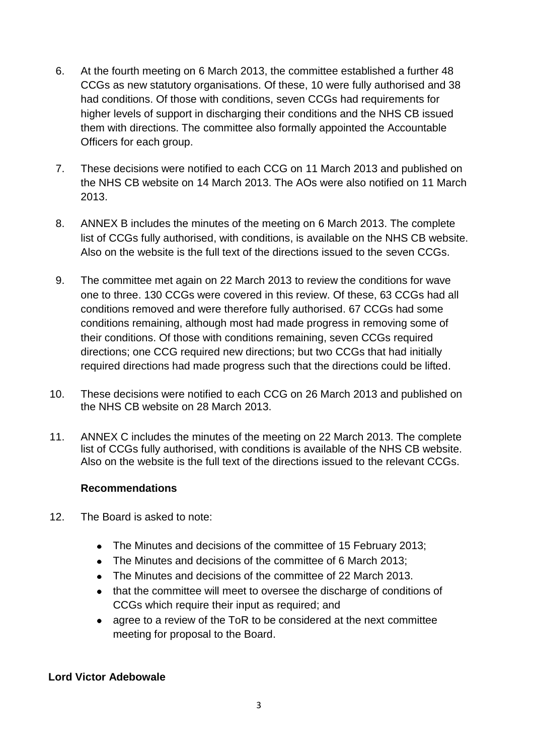- 6. At the fourth meeting on 6 March 2013, the committee established a further 48 CCGs as new statutory organisations. Of these, 10 were fully authorised and 38 had conditions. Of those with conditions, seven CCGs had requirements for higher levels of support in discharging their conditions and the NHS CB issued them with directions. The committee also formally appointed the Accountable Officers for each group.
- 7. These decisions were notified to each CCG on 11 March 2013 and published on the NHS CB website on 14 March 2013. The AOs were also notified on 11 March 2013.
- 8. ANNEX B includes the minutes of the meeting on 6 March 2013. The complete list of CCGs fully authorised, with conditions, is available on the NHS CB website. Also on the website is the full text of the directions issued to the seven CCGs.
- 9. The committee met again on 22 March 2013 to review the conditions for wave one to three. 130 CCGs were covered in this review. Of these, 63 CCGs had all conditions removed and were therefore fully authorised. 67 CCGs had some conditions remaining, although most had made progress in removing some of their conditions. Of those with conditions remaining, seven CCGs required directions; one CCG required new directions; but two CCGs that had initially required directions had made progress such that the directions could be lifted.
- 10. These decisions were notified to each CCG on 26 March 2013 and published on the NHS CB website on 28 March 2013.
- 11. ANNEX C includes the minutes of the meeting on 22 March 2013. The complete list of CCGs fully authorised, with conditions is available of the NHS CB website. Also on the website is the full text of the directions issued to the relevant CCGs.

#### **Recommendations**

- 12. The Board is asked to note:
	- The Minutes and decisions of the committee of 15 February 2013;
	- The Minutes and decisions of the committee of 6 March 2013:
	- The Minutes and decisions of the committee of 22 March 2013.
	- that the committee will meet to oversee the discharge of conditions of  $\bullet$ CCGs which require their input as required; and
	- $\bullet$ agree to a review of the ToR to be considered at the next committee meeting for proposal to the Board.

## **Lord Victor Adebowale**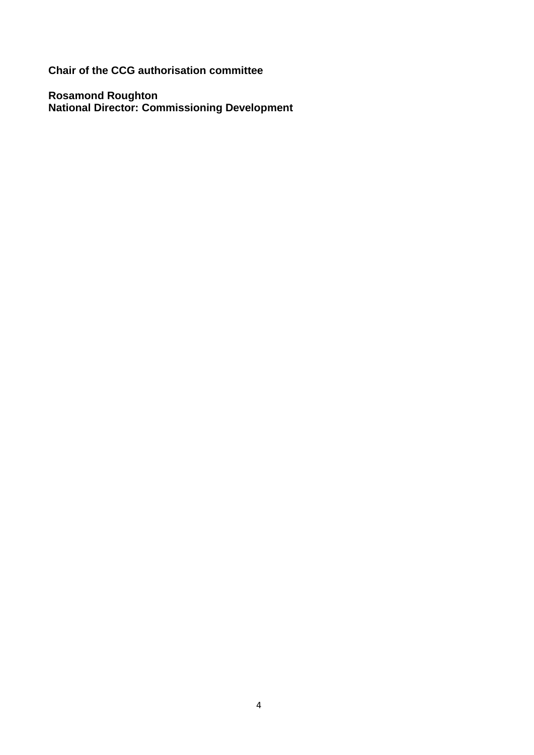**Chair of the CCG authorisation committee**

**Rosamond Roughton National Director: Commissioning Development**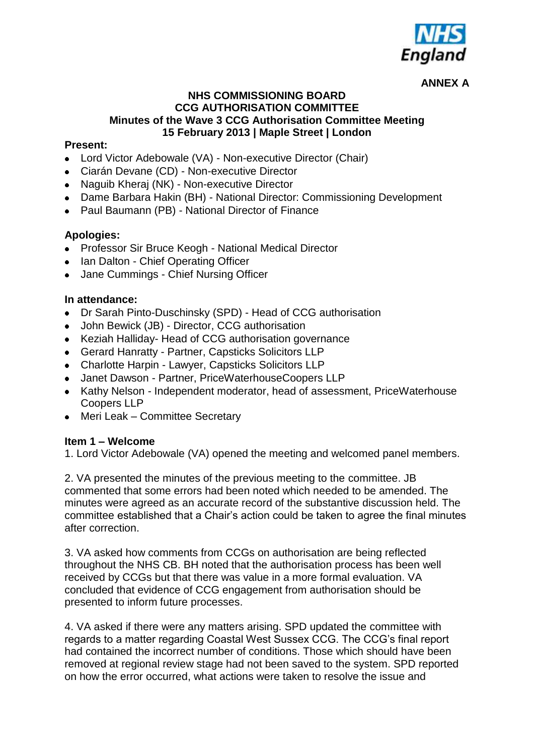

## **ANNEX A**

#### **NHS COMMISSIONING BOARD CCG AUTHORISATION COMMITTEE Minutes of the Wave 3 CCG Authorisation Committee Meeting 15 February 2013 | Maple Street | London**

#### **Present:**

- Lord Victor Adebowale (VA) Non-executive Director (Chair)
- Ciarán Devane (CD) Non-executive Director
- Naguib Kheraj (NK) Non-executive Director
- Dame Barbara Hakin (BH) National Director: Commissioning Development
- Paul Baumann (PB) National Director of Finance

#### **Apologies:**

- Professor Sir Bruce Keogh National Medical Director
- Ian Dalton Chief Operating Officer
- Jane Cummings Chief Nursing Officer

#### **In attendance:**

- Dr Sarah Pinto-Duschinsky (SPD) Head of CCG authorisation
- John Bewick (JB) Director, CCG authorisation
- Keziah Halliday- Head of CCG authorisation governance
- Gerard Hanratty Partner, Capsticks Solicitors LLP
- Charlotte Harpin Lawyer, Capsticks Solicitors LLP
- Janet Dawson Partner, PriceWaterhouseCoopers LLP
- Kathy Nelson Independent moderator, head of assessment, PriceWaterhouse Coopers LLP
- Meri Leak Committee Secretary

#### **Item 1 – Welcome**

1. Lord Victor Adebowale (VA) opened the meeting and welcomed panel members.

2. VA presented the minutes of the previous meeting to the committee. JB commented that some errors had been noted which needed to be amended. The minutes were agreed as an accurate record of the substantive discussion held. The committee established that a Chair"s action could be taken to agree the final minutes after correction.

3. VA asked how comments from CCGs on authorisation are being reflected throughout the NHS CB. BH noted that the authorisation process has been well received by CCGs but that there was value in a more formal evaluation. VA concluded that evidence of CCG engagement from authorisation should be presented to inform future processes.

4. VA asked if there were any matters arising. SPD updated the committee with regards to a matter regarding Coastal West Sussex CCG. The CCG"s final report had contained the incorrect number of conditions. Those which should have been removed at regional review stage had not been saved to the system. SPD reported on how the error occurred, what actions were taken to resolve the issue and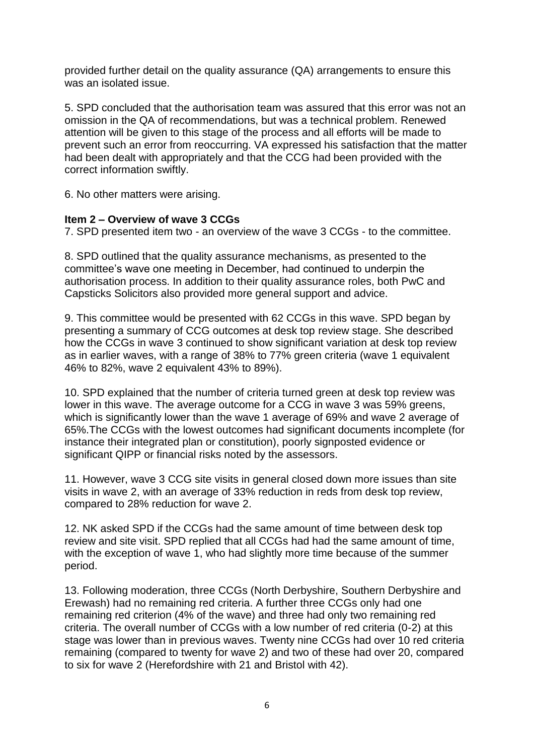provided further detail on the quality assurance (QA) arrangements to ensure this was an isolated issue.

5. SPD concluded that the authorisation team was assured that this error was not an omission in the QA of recommendations, but was a technical problem. Renewed attention will be given to this stage of the process and all efforts will be made to prevent such an error from reoccurring. VA expressed his satisfaction that the matter had been dealt with appropriately and that the CCG had been provided with the correct information swiftly.

6. No other matters were arising.

#### **Item 2 – Overview of wave 3 CCGs**

7. SPD presented item two - an overview of the wave 3 CCGs - to the committee.

8. SPD outlined that the quality assurance mechanisms, as presented to the committee"s wave one meeting in December, had continued to underpin the authorisation process. In addition to their quality assurance roles, both PwC and Capsticks Solicitors also provided more general support and advice.

9. This committee would be presented with 62 CCGs in this wave. SPD began by presenting a summary of CCG outcomes at desk top review stage. She described how the CCGs in wave 3 continued to show significant variation at desk top review as in earlier waves, with a range of 38% to 77% green criteria (wave 1 equivalent 46% to 82%, wave 2 equivalent 43% to 89%).

10. SPD explained that the number of criteria turned green at desk top review was lower in this wave. The average outcome for a CCG in wave 3 was 59% greens, which is significantly lower than the wave 1 average of 69% and wave 2 average of 65%.The CCGs with the lowest outcomes had significant documents incomplete (for instance their integrated plan or constitution), poorly signposted evidence or significant QIPP or financial risks noted by the assessors.

11. However, wave 3 CCG site visits in general closed down more issues than site visits in wave 2, with an average of 33% reduction in reds from desk top review, compared to 28% reduction for wave 2.

12. NK asked SPD if the CCGs had the same amount of time between desk top review and site visit. SPD replied that all CCGs had had the same amount of time, with the exception of wave 1, who had slightly more time because of the summer period.

13. Following moderation, three CCGs (North Derbyshire, Southern Derbyshire and Erewash) had no remaining red criteria. A further three CCGs only had one remaining red criterion (4% of the wave) and three had only two remaining red criteria. The overall number of CCGs with a low number of red criteria (0-2) at this stage was lower than in previous waves. Twenty nine CCGs had over 10 red criteria remaining (compared to twenty for wave 2) and two of these had over 20, compared to six for wave 2 (Herefordshire with 21 and Bristol with 42).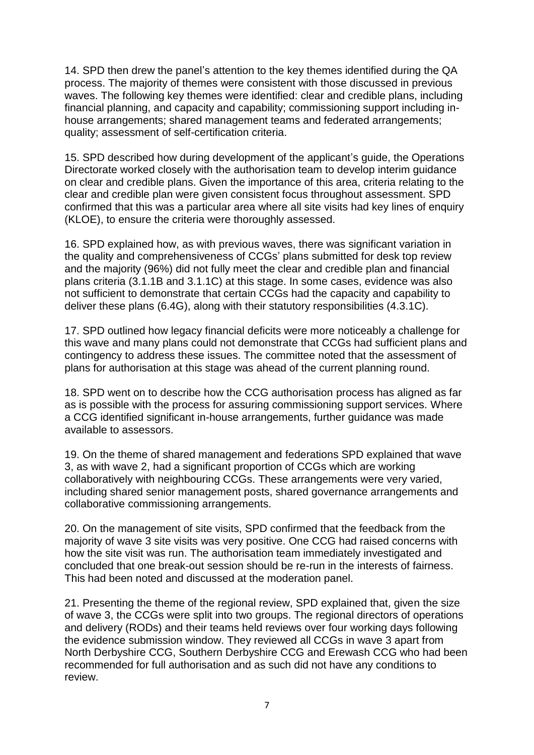14. SPD then drew the panel"s attention to the key themes identified during the QA process. The majority of themes were consistent with those discussed in previous waves. The following key themes were identified: clear and credible plans, including financial planning, and capacity and capability; commissioning support including inhouse arrangements; shared management teams and federated arrangements; quality; assessment of self-certification criteria.

15. SPD described how during development of the applicant"s guide, the Operations Directorate worked closely with the authorisation team to develop interim guidance on clear and credible plans. Given the importance of this area, criteria relating to the clear and credible plan were given consistent focus throughout assessment. SPD confirmed that this was a particular area where all site visits had key lines of enquiry (KLOE), to ensure the criteria were thoroughly assessed.

16. SPD explained how, as with previous waves, there was significant variation in the quality and comprehensiveness of CCGs" plans submitted for desk top review and the majority (96%) did not fully meet the clear and credible plan and financial plans criteria (3.1.1B and 3.1.1C) at this stage. In some cases, evidence was also not sufficient to demonstrate that certain CCGs had the capacity and capability to deliver these plans (6.4G), along with their statutory responsibilities (4.3.1C).

17. SPD outlined how legacy financial deficits were more noticeably a challenge for this wave and many plans could not demonstrate that CCGs had sufficient plans and contingency to address these issues. The committee noted that the assessment of plans for authorisation at this stage was ahead of the current planning round.

18. SPD went on to describe how the CCG authorisation process has aligned as far as is possible with the process for assuring commissioning support services. Where a CCG identified significant in-house arrangements, further guidance was made available to assessors.

19. On the theme of shared management and federations SPD explained that wave 3, as with wave 2, had a significant proportion of CCGs which are working collaboratively with neighbouring CCGs. These arrangements were very varied, including shared senior management posts, shared governance arrangements and collaborative commissioning arrangements.

20. On the management of site visits, SPD confirmed that the feedback from the majority of wave 3 site visits was very positive. One CCG had raised concerns with how the site visit was run. The authorisation team immediately investigated and concluded that one break-out session should be re-run in the interests of fairness. This had been noted and discussed at the moderation panel.

21. Presenting the theme of the regional review, SPD explained that, given the size of wave 3, the CCGs were split into two groups. The regional directors of operations and delivery (RODs) and their teams held reviews over four working days following the evidence submission window. They reviewed all CCGs in wave 3 apart from North Derbyshire CCG, Southern Derbyshire CCG and Erewash CCG who had been recommended for full authorisation and as such did not have any conditions to review.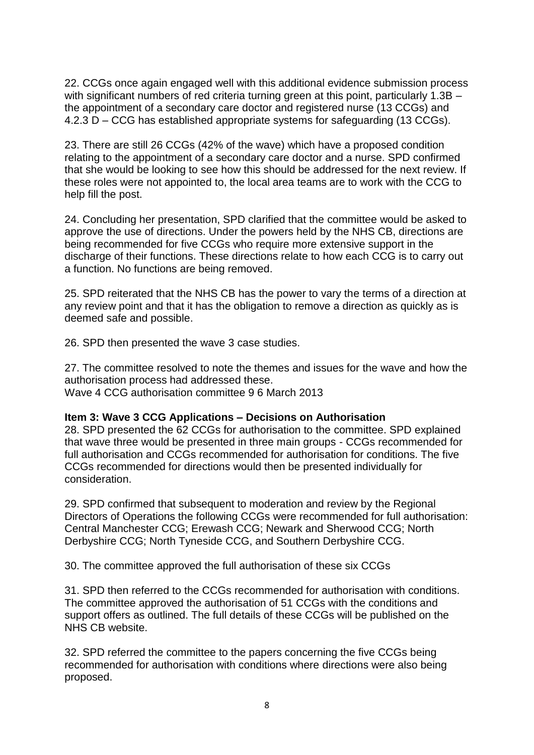22. CCGs once again engaged well with this additional evidence submission process with significant numbers of red criteria turning green at this point, particularly 1.3B the appointment of a secondary care doctor and registered nurse (13 CCGs) and 4.2.3 D – CCG has established appropriate systems for safeguarding (13 CCGs).

23. There are still 26 CCGs (42% of the wave) which have a proposed condition relating to the appointment of a secondary care doctor and a nurse. SPD confirmed that she would be looking to see how this should be addressed for the next review. If these roles were not appointed to, the local area teams are to work with the CCG to help fill the post.

24. Concluding her presentation, SPD clarified that the committee would be asked to approve the use of directions. Under the powers held by the NHS CB, directions are being recommended for five CCGs who require more extensive support in the discharge of their functions. These directions relate to how each CCG is to carry out a function. No functions are being removed.

25. SPD reiterated that the NHS CB has the power to vary the terms of a direction at any review point and that it has the obligation to remove a direction as quickly as is deemed safe and possible.

26. SPD then presented the wave 3 case studies.

27. The committee resolved to note the themes and issues for the wave and how the authorisation process had addressed these. Wave 4 CCG authorisation committee 9 6 March 2013

#### **Item 3: Wave 3 CCG Applications – Decisions on Authorisation**

28. SPD presented the 62 CCGs for authorisation to the committee. SPD explained that wave three would be presented in three main groups - CCGs recommended for full authorisation and CCGs recommended for authorisation for conditions. The five CCGs recommended for directions would then be presented individually for consideration.

29. SPD confirmed that subsequent to moderation and review by the Regional Directors of Operations the following CCGs were recommended for full authorisation: Central Manchester CCG; Erewash CCG; Newark and Sherwood CCG; North Derbyshire CCG; North Tyneside CCG, and Southern Derbyshire CCG.

30. The committee approved the full authorisation of these six CCGs

31. SPD then referred to the CCGs recommended for authorisation with conditions. The committee approved the authorisation of 51 CCGs with the conditions and support offers as outlined. The full details of these CCGs will be published on the NHS CB website.

32. SPD referred the committee to the papers concerning the five CCGs being recommended for authorisation with conditions where directions were also being proposed.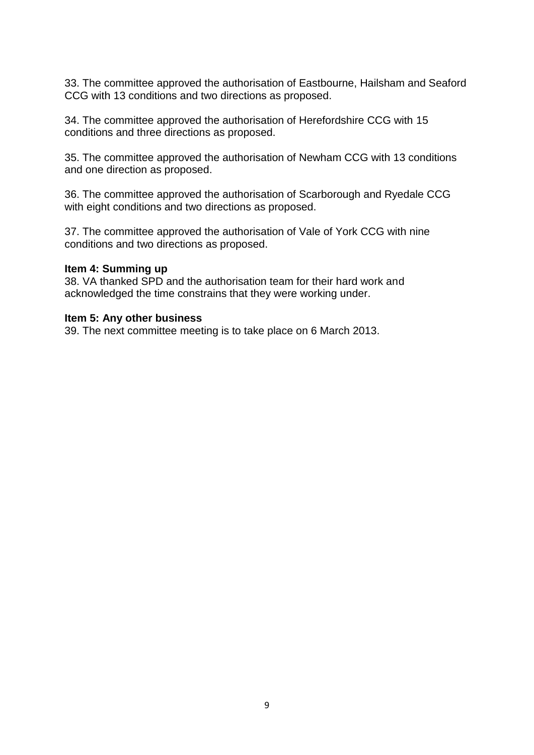33. The committee approved the authorisation of Eastbourne, Hailsham and Seaford CCG with 13 conditions and two directions as proposed.

34. The committee approved the authorisation of Herefordshire CCG with 15 conditions and three directions as proposed.

35. The committee approved the authorisation of Newham CCG with 13 conditions and one direction as proposed.

36. The committee approved the authorisation of Scarborough and Ryedale CCG with eight conditions and two directions as proposed.

37. The committee approved the authorisation of Vale of York CCG with nine conditions and two directions as proposed.

#### **Item 4: Summing up**

38. VA thanked SPD and the authorisation team for their hard work and acknowledged the time constrains that they were working under.

#### **Item 5: Any other business**

39. The next committee meeting is to take place on 6 March 2013.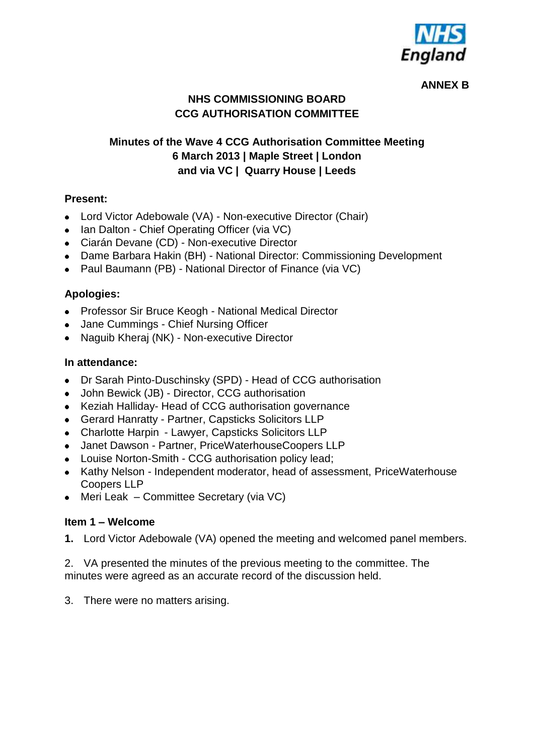

**ANNEX B**

# **NHS COMMISSIONING BOARD CCG AUTHORISATION COMMITTEE**

# **Minutes of the Wave 4 CCG Authorisation Committee Meeting 6 March 2013 | Maple Street | London and via VC | Quarry House | Leeds**

# **Present:**

- Lord Victor Adebowale (VA) Non-executive Director (Chair)
- Ian Dalton Chief Operating Officer (via VC)
- Ciarán Devane (CD) Non-executive Director
- Dame Barbara Hakin (BH) National Director: Commissioning Development
- Paul Baumann (PB) National Director of Finance (via VC)

## **Apologies:**

- Professor Sir Bruce Keogh National Medical Director
- Jane Cummings Chief Nursing Officer
- Naguib Kheraj (NK) Non-executive Director

## **In attendance:**

- Dr Sarah Pinto-Duschinsky (SPD) Head of CCG authorisation
- John Bewick (JB) Director, CCG authorisation
- Keziah Halliday- Head of CCG authorisation governance
- Gerard Hanratty Partner, Capsticks Solicitors LLP
- Charlotte Harpin Lawyer, Capsticks Solicitors LLP
- Janet Dawson Partner, PriceWaterhouseCoopers LLP
- Louise Norton-Smith CCG authorisation policy lead;
- Kathy Nelson Independent moderator, head of assessment, PriceWaterhouse Coopers LLP
- Meri Leak Committee Secretary (via VC)

## **Item 1 – Welcome**

**1.** Lord Victor Adebowale (VA) opened the meeting and welcomed panel members.

2. VA presented the minutes of the previous meeting to the committee. The minutes were agreed as an accurate record of the discussion held.

3. There were no matters arising.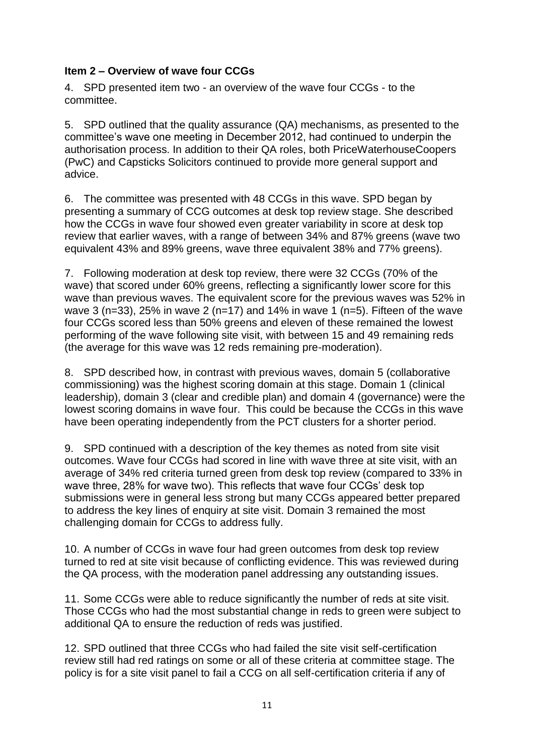## **Item 2 – Overview of wave four CCGs**

4. SPD presented item two - an overview of the wave four CCGs - to the committee.

5. SPD outlined that the quality assurance (QA) mechanisms, as presented to the committee"s wave one meeting in December 2012, had continued to underpin the authorisation process. In addition to their QA roles, both PriceWaterhouseCoopers (PwC) and Capsticks Solicitors continued to provide more general support and advice.

6. The committee was presented with 48 CCGs in this wave. SPD began by presenting a summary of CCG outcomes at desk top review stage. She described how the CCGs in wave four showed even greater variability in score at desk top review that earlier waves, with a range of between 34% and 87% greens (wave two equivalent 43% and 89% greens, wave three equivalent 38% and 77% greens).

7. Following moderation at desk top review, there were 32 CCGs (70% of the wave) that scored under 60% greens, reflecting a significantly lower score for this wave than previous waves. The equivalent score for the previous waves was 52% in wave 3 (n=33), 25% in wave 2 (n=17) and 14% in wave 1 (n=5). Fifteen of the wave four CCGs scored less than 50% greens and eleven of these remained the lowest performing of the wave following site visit, with between 15 and 49 remaining reds (the average for this wave was 12 reds remaining pre-moderation).

8. SPD described how, in contrast with previous waves, domain 5 (collaborative commissioning) was the highest scoring domain at this stage. Domain 1 (clinical leadership), domain 3 (clear and credible plan) and domain 4 (governance) were the lowest scoring domains in wave four. This could be because the CCGs in this wave have been operating independently from the PCT clusters for a shorter period.

9. SPD continued with a description of the key themes as noted from site visit outcomes. Wave four CCGs had scored in line with wave three at site visit, with an average of 34% red criteria turned green from desk top review (compared to 33% in wave three, 28% for wave two). This reflects that wave four CCGs" desk top submissions were in general less strong but many CCGs appeared better prepared to address the key lines of enquiry at site visit. Domain 3 remained the most challenging domain for CCGs to address fully.

10. A number of CCGs in wave four had green outcomes from desk top review turned to red at site visit because of conflicting evidence. This was reviewed during the QA process, with the moderation panel addressing any outstanding issues.

11. Some CCGs were able to reduce significantly the number of reds at site visit. Those CCGs who had the most substantial change in reds to green were subject to additional QA to ensure the reduction of reds was justified.

12. SPD outlined that three CCGs who had failed the site visit self-certification review still had red ratings on some or all of these criteria at committee stage. The policy is for a site visit panel to fail a CCG on all self-certification criteria if any of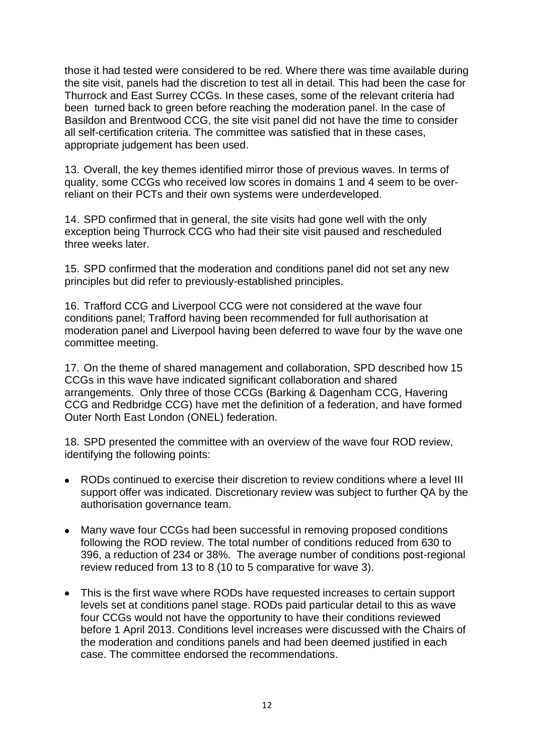those it had tested were considered to be red. Where there was time available during the site visit, panels had the discretion to test all in detail. This had been the case for Thurrock and East Surrey CCGs. In these cases, some of the relevant criteria had been turned back to green before reaching the moderation panel. In the case of Basildon and Brentwood CCG, the site visit panel did not have the time to consider all self-certification criteria. The committee was satisfied that in these cases, appropriate judgement has been used.

13. Overall, the key themes identified mirror those of previous waves. In terms of quality, some CCGs who received low scores in domains 1 and 4 seem to be overreliant on their PCTs and their own systems were underdeveloped.

14. SPD confirmed that in general, the site visits had gone well with the only exception being Thurrock CCG who had their site visit paused and rescheduled three weeks later.

15. SPD confirmed that the moderation and conditions panel did not set any new principles but did refer to previously-established principles.

16. Trafford CCG and Liverpool CCG were not considered at the wave four conditions panel; Trafford having been recommended for full authorisation at moderation panel and Liverpool having been deferred to wave four by the wave one committee meeting.

17. On the theme of shared management and collaboration, SPD described how 15 CCGs in this wave have indicated significant collaboration and shared arrangements. Only three of those CCGs (Barking & Dagenham CCG, Havering CCG and Redbridge CCG) have met the definition of a federation, and have formed Outer North East London (ONEL) federation.

18. SPD presented the committee with an overview of the wave four ROD review, identifying the following points:

- RODs continued to exercise their discretion to review conditions where a level III support offer was indicated. Discretionary review was subject to further QA by the authorisation governance team.
- Many wave four CCGs had been successful in removing proposed conditions following the ROD review. The total number of conditions reduced from 630 to 396, a reduction of 234 or 38%. The average number of conditions post-regional review reduced from 13 to 8 (10 to 5 comparative for wave 3).
- This is the first wave where RODs have requested increases to certain support levels set at conditions panel stage. RODs paid particular detail to this as wave four CCGs would not have the opportunity to have their conditions reviewed before 1 April 2013. Conditions level increases were discussed with the Chairs of the moderation and conditions panels and had been deemed justified in each case. The committee endorsed the recommendations.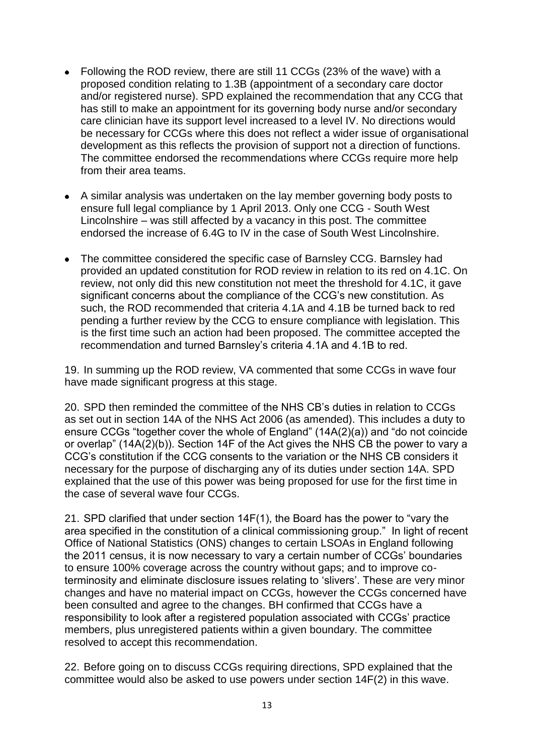- Following the ROD review, there are still 11 CCGs (23% of the wave) with a proposed condition relating to 1.3B (appointment of a secondary care doctor and/or registered nurse). SPD explained the recommendation that any CCG that has still to make an appointment for its governing body nurse and/or secondary care clinician have its support level increased to a level IV. No directions would be necessary for CCGs where this does not reflect a wider issue of organisational development as this reflects the provision of support not a direction of functions. The committee endorsed the recommendations where CCGs require more help from their area teams.
- A similar analysis was undertaken on the lay member governing body posts to ensure full legal compliance by 1 April 2013. Only one CCG - South West Lincolnshire – was still affected by a vacancy in this post. The committee endorsed the increase of 6.4G to IV in the case of South West Lincolnshire.
- The committee considered the specific case of Barnsley CCG. Barnsley had provided an updated constitution for ROD review in relation to its red on 4.1C. On review, not only did this new constitution not meet the threshold for 4.1C, it gave significant concerns about the compliance of the CCG's new constitution. As such, the ROD recommended that criteria 4.1A and 4.1B be turned back to red pending a further review by the CCG to ensure compliance with legislation. This is the first time such an action had been proposed. The committee accepted the recommendation and turned Barnsley"s criteria 4.1A and 4.1B to red.

19. In summing up the ROD review, VA commented that some CCGs in wave four have made significant progress at this stage.

20. SPD then reminded the committee of the NHS CB"s duties in relation to CCGs as set out in section 14A of the NHS Act 2006 (as amended). This includes a duty to ensure CCGs "together cover the whole of England" (14A(2)(a)) and "do not coincide or overlap" (14A(2)(b)). Section 14F of the Act gives the NHS CB the power to vary a CCG"s constitution if the CCG consents to the variation or the NHS CB considers it necessary for the purpose of discharging any of its duties under section 14A. SPD explained that the use of this power was being proposed for use for the first time in the case of several wave four CCGs.

21. SPD clarified that under section 14F(1), the Board has the power to "vary the area specified in the constitution of a clinical commissioning group." In light of recent Office of National Statistics (ONS) changes to certain LSOAs in England following the 2011 census, it is now necessary to vary a certain number of CCGs" boundaries to ensure 100% coverage across the country without gaps; and to improve coterminosity and eliminate disclosure issues relating to "slivers". These are very minor changes and have no material impact on CCGs, however the CCGs concerned have been consulted and agree to the changes. BH confirmed that CCGs have a responsibility to look after a registered population associated with CCGs" practice members, plus unregistered patients within a given boundary. The committee resolved to accept this recommendation.

22. Before going on to discuss CCGs requiring directions, SPD explained that the committee would also be asked to use powers under section 14F(2) in this wave.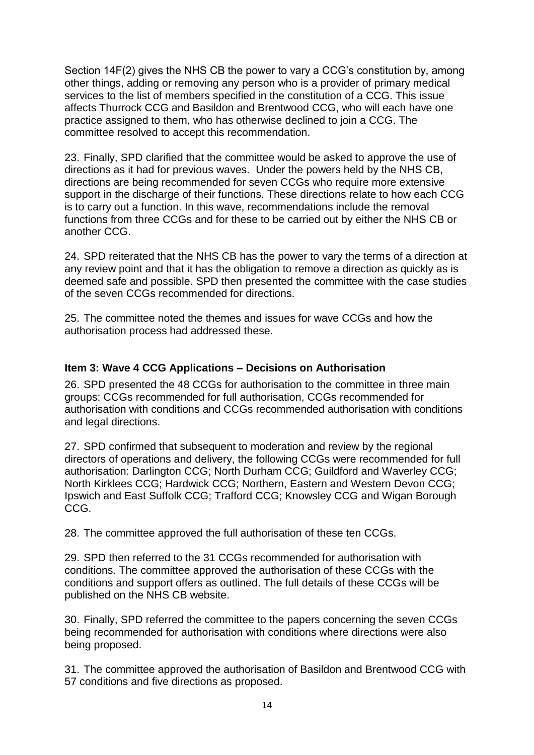Section 14F(2) gives the NHS CB the power to vary a CCG"s constitution by, among other things, adding or removing any person who is a provider of primary medical services to the list of members specified in the constitution of a CCG. This issue affects Thurrock CCG and Basildon and Brentwood CCG, who will each have one practice assigned to them, who has otherwise declined to join a CCG. The committee resolved to accept this recommendation.

23. Finally, SPD clarified that the committee would be asked to approve the use of directions as it had for previous waves. Under the powers held by the NHS CB, directions are being recommended for seven CCGs who require more extensive support in the discharge of their functions. These directions relate to how each CCG is to carry out a function. In this wave, recommendations include the removal functions from three CCGs and for these to be carried out by either the NHS CB or another CCG.

24. SPD reiterated that the NHS CB has the power to vary the terms of a direction at any review point and that it has the obligation to remove a direction as quickly as is deemed safe and possible. SPD then presented the committee with the case studies of the seven CCGs recommended for directions.

25. The committee noted the themes and issues for wave CCGs and how the authorisation process had addressed these.

#### **Item 3: Wave 4 CCG Applications – Decisions on Authorisation**

26. SPD presented the 48 CCGs for authorisation to the committee in three main groups: CCGs recommended for full authorisation, CCGs recommended for authorisation with conditions and CCGs recommended authorisation with conditions and legal directions.

27. SPD confirmed that subsequent to moderation and review by the regional directors of operations and delivery, the following CCGs were recommended for full authorisation: Darlington CCG; North Durham CCG; Guildford and Waverley CCG; North Kirklees CCG; Hardwick CCG; Northern, Eastern and Western Devon CCG; Ipswich and East Suffolk CCG; Trafford CCG; Knowsley CCG and Wigan Borough CCG.

28. The committee approved the full authorisation of these ten CCGs.

29. SPD then referred to the 31 CCGs recommended for authorisation with conditions. The committee approved the authorisation of these CCGs with the conditions and support offers as outlined. The full details of these CCGs will be published on the NHS CB website.

30. Finally, SPD referred the committee to the papers concerning the seven CCGs being recommended for authorisation with conditions where directions were also being proposed.

31. The committee approved the authorisation of Basildon and Brentwood CCG with 57 conditions and five directions as proposed.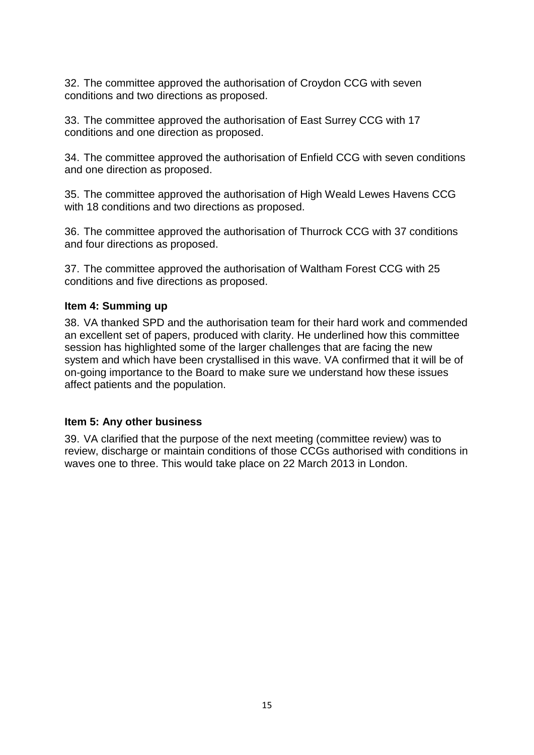32. The committee approved the authorisation of Croydon CCG with seven conditions and two directions as proposed.

33. The committee approved the authorisation of East Surrey CCG with 17 conditions and one direction as proposed.

34. The committee approved the authorisation of Enfield CCG with seven conditions and one direction as proposed.

35. The committee approved the authorisation of High Weald Lewes Havens CCG with 18 conditions and two directions as proposed.

36. The committee approved the authorisation of Thurrock CCG with 37 conditions and four directions as proposed.

37. The committee approved the authorisation of Waltham Forest CCG with 25 conditions and five directions as proposed.

#### **Item 4: Summing up**

38. VA thanked SPD and the authorisation team for their hard work and commended an excellent set of papers, produced with clarity. He underlined how this committee session has highlighted some of the larger challenges that are facing the new system and which have been crystallised in this wave. VA confirmed that it will be of on-going importance to the Board to make sure we understand how these issues affect patients and the population.

#### **Item 5: Any other business**

39. VA clarified that the purpose of the next meeting (committee review) was to review, discharge or maintain conditions of those CCGs authorised with conditions in waves one to three. This would take place on 22 March 2013 in London.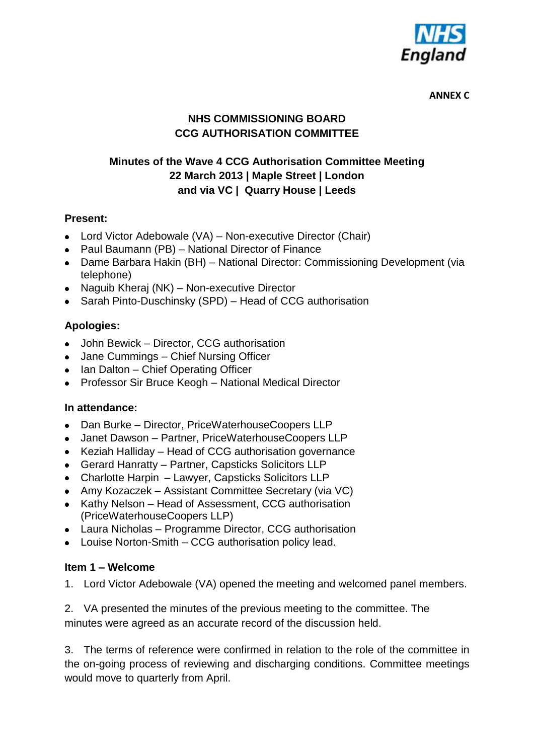

**ANNEX C**

# **NHS COMMISSIONING BOARD CCG AUTHORISATION COMMITTEE**

# **Minutes of the Wave 4 CCG Authorisation Committee Meeting 22 March 2013 | Maple Street | London and via VC | Quarry House | Leeds**

## **Present:**

- Lord Victor Adebowale (VA) Non-executive Director (Chair)
- Paul Baumann (PB) National Director of Finance
- Dame Barbara Hakin (BH) National Director: Commissioning Development (via telephone)
- Naguib Kheraj (NK) Non-executive Director
- Sarah Pinto-Duschinsky (SPD) Head of CCG authorisation

## **Apologies:**

- John Bewick Director, CCG authorisation
- Jane Cummings Chief Nursing Officer
- Ian Dalton Chief Operating Officer
- Professor Sir Bruce Keogh National Medical Director

#### **In attendance:**

- Dan Burke Director, PriceWaterhouseCoopers LLP
- Janet Dawson Partner, PriceWaterhouseCoopers LLP
- Keziah Halliday Head of CCG authorisation governance
- Gerard Hanratty Partner, Capsticks Solicitors LLP
- Charlotte Harpin Lawyer, Capsticks Solicitors LLP
- Amy Kozaczek Assistant Committee Secretary (via VC)
- Kathy Nelson Head of Assessment, CCG authorisation (PriceWaterhouseCoopers LLP)
- Laura Nicholas Programme Director, CCG authorisation
- Louise Norton-Smith CCG authorisation policy lead.

## **Item 1 – Welcome**

1. Lord Victor Adebowale (VA) opened the meeting and welcomed panel members.

2. VA presented the minutes of the previous meeting to the committee. The minutes were agreed as an accurate record of the discussion held.

3. The terms of reference were confirmed in relation to the role of the committee in the on-going process of reviewing and discharging conditions. Committee meetings would move to quarterly from April.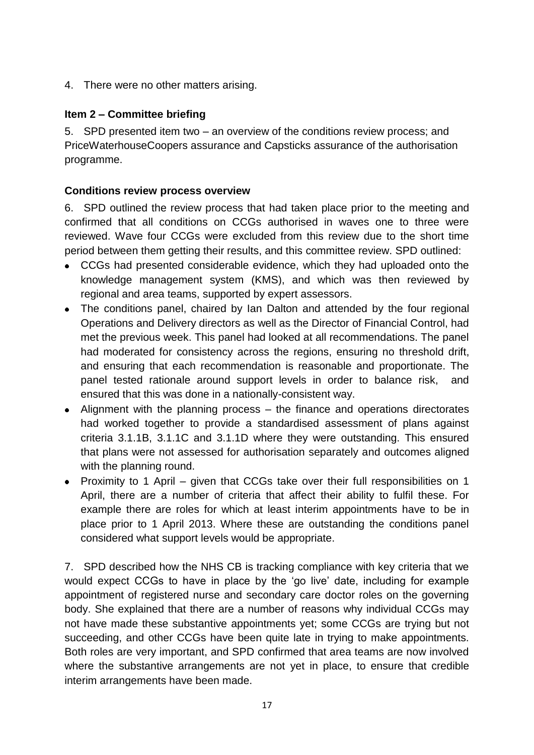4. There were no other matters arising.

# **Item 2 – Committee briefing**

5. SPD presented item two – an overview of the conditions review process; and PriceWaterhouseCoopers assurance and Capsticks assurance of the authorisation programme.

# **Conditions review process overview**

6. SPD outlined the review process that had taken place prior to the meeting and confirmed that all conditions on CCGs authorised in waves one to three were reviewed. Wave four CCGs were excluded from this review due to the short time period between them getting their results, and this committee review. SPD outlined:

- CCGs had presented considerable evidence, which they had uploaded onto the knowledge management system (KMS), and which was then reviewed by regional and area teams, supported by expert assessors.
- The conditions panel, chaired by Ian Dalton and attended by the four regional Operations and Delivery directors as well as the Director of Financial Control, had met the previous week. This panel had looked at all recommendations. The panel had moderated for consistency across the regions, ensuring no threshold drift, and ensuring that each recommendation is reasonable and proportionate. The panel tested rationale around support levels in order to balance risk, and ensured that this was done in a nationally-consistent way.
- Alignment with the planning process the finance and operations directorates had worked together to provide a standardised assessment of plans against criteria 3.1.1B, 3.1.1C and 3.1.1D where they were outstanding. This ensured that plans were not assessed for authorisation separately and outcomes aligned with the planning round.
- Proximity to 1 April given that CCGs take over their full responsibilities on 1 April, there are a number of criteria that affect their ability to fulfil these. For example there are roles for which at least interim appointments have to be in place prior to 1 April 2013. Where these are outstanding the conditions panel considered what support levels would be appropriate.

7. SPD described how the NHS CB is tracking compliance with key criteria that we would expect CCGs to have in place by the "go live" date, including for example appointment of registered nurse and secondary care doctor roles on the governing body. She explained that there are a number of reasons why individual CCGs may not have made these substantive appointments yet; some CCGs are trying but not succeeding, and other CCGs have been quite late in trying to make appointments. Both roles are very important, and SPD confirmed that area teams are now involved where the substantive arrangements are not yet in place, to ensure that credible interim arrangements have been made.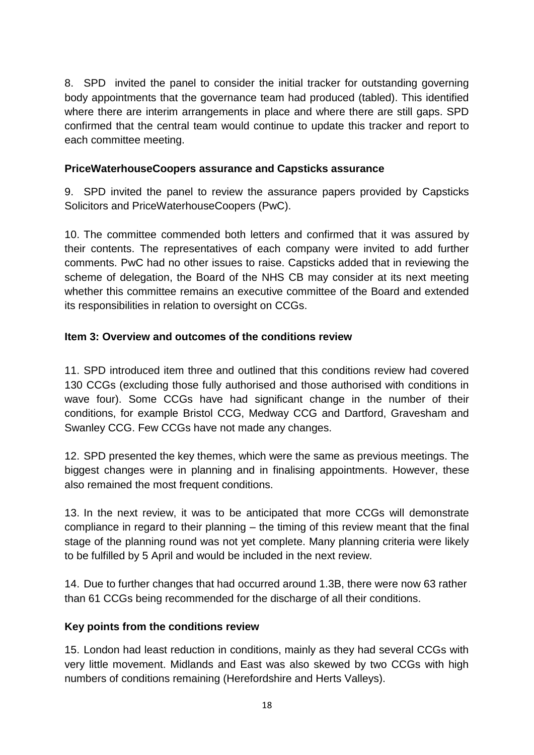8. SPD invited the panel to consider the initial tracker for outstanding governing body appointments that the governance team had produced (tabled). This identified where there are interim arrangements in place and where there are still gaps. SPD confirmed that the central team would continue to update this tracker and report to each committee meeting.

## **PriceWaterhouseCoopers assurance and Capsticks assurance**

9. SPD invited the panel to review the assurance papers provided by Capsticks Solicitors and PriceWaterhouseCoopers (PwC).

10. The committee commended both letters and confirmed that it was assured by their contents. The representatives of each company were invited to add further comments. PwC had no other issues to raise. Capsticks added that in reviewing the scheme of delegation, the Board of the NHS CB may consider at its next meeting whether this committee remains an executive committee of the Board and extended its responsibilities in relation to oversight on CCGs.

# **Item 3: Overview and outcomes of the conditions review**

11. SPD introduced item three and outlined that this conditions review had covered 130 CCGs (excluding those fully authorised and those authorised with conditions in wave four). Some CCGs have had significant change in the number of their conditions, for example Bristol CCG, Medway CCG and Dartford, Gravesham and Swanley CCG. Few CCGs have not made any changes.

12. SPD presented the key themes, which were the same as previous meetings. The biggest changes were in planning and in finalising appointments. However, these also remained the most frequent conditions.

13. In the next review, it was to be anticipated that more CCGs will demonstrate compliance in regard to their planning – the timing of this review meant that the final stage of the planning round was not yet complete. Many planning criteria were likely to be fulfilled by 5 April and would be included in the next review.

14. Due to further changes that had occurred around 1.3B, there were now 63 rather than 61 CCGs being recommended for the discharge of all their conditions.

## **Key points from the conditions review**

15. London had least reduction in conditions, mainly as they had several CCGs with very little movement. Midlands and East was also skewed by two CCGs with high numbers of conditions remaining (Herefordshire and Herts Valleys).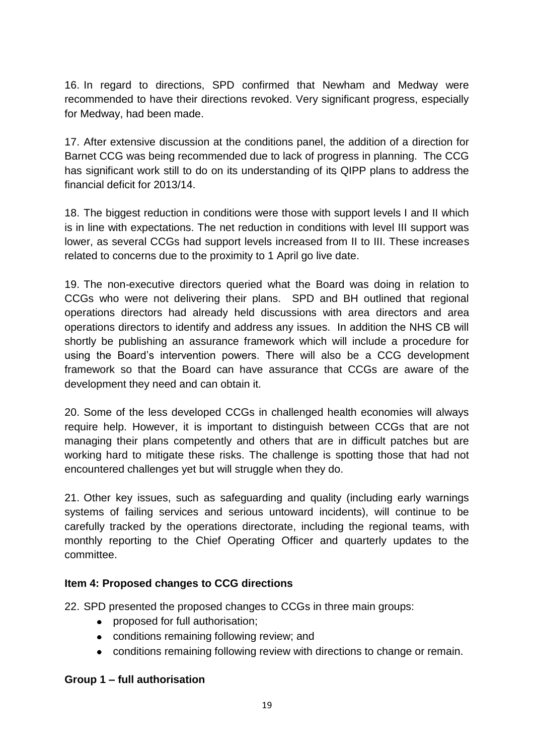16. In regard to directions, SPD confirmed that Newham and Medway were recommended to have their directions revoked. Very significant progress, especially for Medway, had been made.

17. After extensive discussion at the conditions panel, the addition of a direction for Barnet CCG was being recommended due to lack of progress in planning. The CCG has significant work still to do on its understanding of its QIPP plans to address the financial deficit for 2013/14.

18. The biggest reduction in conditions were those with support levels I and II which is in line with expectations. The net reduction in conditions with level III support was lower, as several CCGs had support levels increased from II to III. These increases related to concerns due to the proximity to 1 April go live date.

19. The non-executive directors queried what the Board was doing in relation to CCGs who were not delivering their plans. SPD and BH outlined that regional operations directors had already held discussions with area directors and area operations directors to identify and address any issues. In addition the NHS CB will shortly be publishing an assurance framework which will include a procedure for using the Board"s intervention powers. There will also be a CCG development framework so that the Board can have assurance that CCGs are aware of the development they need and can obtain it.

20. Some of the less developed CCGs in challenged health economies will always require help. However, it is important to distinguish between CCGs that are not managing their plans competently and others that are in difficult patches but are working hard to mitigate these risks. The challenge is spotting those that had not encountered challenges yet but will struggle when they do.

21. Other key issues, such as safeguarding and quality (including early warnings systems of failing services and serious untoward incidents), will continue to be carefully tracked by the operations directorate, including the regional teams, with monthly reporting to the Chief Operating Officer and quarterly updates to the committee.

## **Item 4: Proposed changes to CCG directions**

22. SPD presented the proposed changes to CCGs in three main groups:

- proposed for full authorisation;
- conditions remaining following review; and
- conditions remaining following review with directions to change or remain.

## **Group 1 – full authorisation**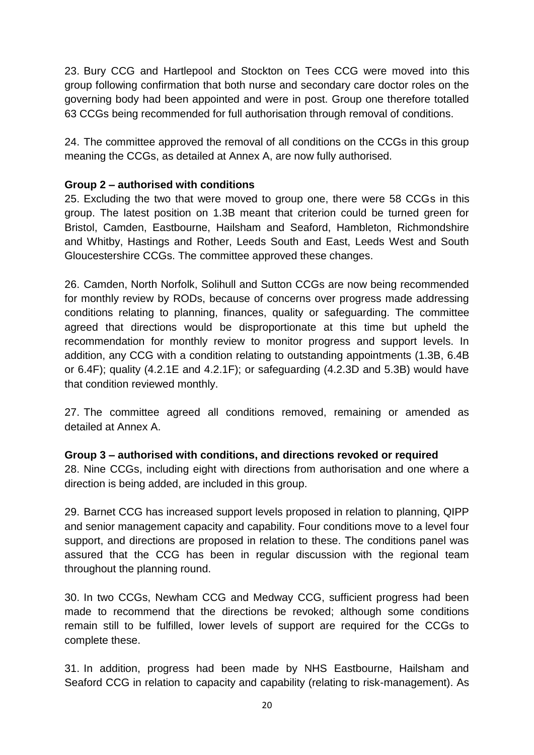23. Bury CCG and Hartlepool and Stockton on Tees CCG were moved into this group following confirmation that both nurse and secondary care doctor roles on the governing body had been appointed and were in post. Group one therefore totalled 63 CCGs being recommended for full authorisation through removal of conditions.

24. The committee approved the removal of all conditions on the CCGs in this group meaning the CCGs, as detailed at Annex A, are now fully authorised.

## **Group 2 – authorised with conditions**

25. Excluding the two that were moved to group one, there were 58 CCGs in this group. The latest position on 1.3B meant that criterion could be turned green for Bristol, Camden, Eastbourne, Hailsham and Seaford, Hambleton, Richmondshire and Whitby, Hastings and Rother, Leeds South and East, Leeds West and South Gloucestershire CCGs. The committee approved these changes.

26. Camden, North Norfolk, Solihull and Sutton CCGs are now being recommended for monthly review by RODs, because of concerns over progress made addressing conditions relating to planning, finances, quality or safeguarding. The committee agreed that directions would be disproportionate at this time but upheld the recommendation for monthly review to monitor progress and support levels. In addition, any CCG with a condition relating to outstanding appointments (1.3B, 6.4B or 6.4F); quality (4.2.1E and 4.2.1F); or safeguarding (4.2.3D and 5.3B) would have that condition reviewed monthly.

27. The committee agreed all conditions removed, remaining or amended as detailed at Annex A.

#### **Group 3 – authorised with conditions, and directions revoked or required**

28. Nine CCGs, including eight with directions from authorisation and one where a direction is being added, are included in this group.

29. Barnet CCG has increased support levels proposed in relation to planning, QIPP and senior management capacity and capability. Four conditions move to a level four support, and directions are proposed in relation to these. The conditions panel was assured that the CCG has been in regular discussion with the regional team throughout the planning round.

30. In two CCGs, Newham CCG and Medway CCG, sufficient progress had been made to recommend that the directions be revoked; although some conditions remain still to be fulfilled, lower levels of support are required for the CCGs to complete these.

31. In addition, progress had been made by NHS Eastbourne, Hailsham and Seaford CCG in relation to capacity and capability (relating to risk-management). As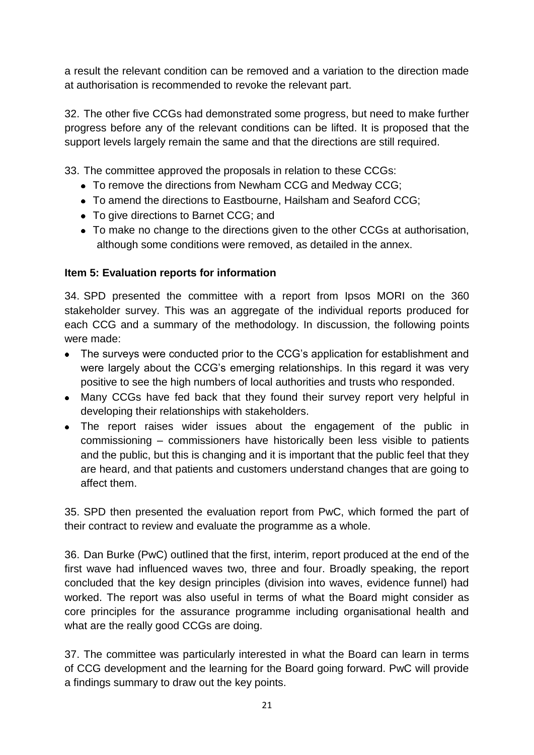a result the relevant condition can be removed and a variation to the direction made at authorisation is recommended to revoke the relevant part.

32. The other five CCGs had demonstrated some progress, but need to make further progress before any of the relevant conditions can be lifted. It is proposed that the support levels largely remain the same and that the directions are still required.

33. The committee approved the proposals in relation to these CCGs:

- To remove the directions from Newham CCG and Medway CCG;
- To amend the directions to Eastbourne, Hailsham and Seaford CCG;
- To give directions to Barnet CCG; and
- To make no change to the directions given to the other CCGs at authorisation, although some conditions were removed, as detailed in the annex.

# **Item 5: Evaluation reports for information**

34. SPD presented the committee with a report from Ipsos MORI on the 360 stakeholder survey. This was an aggregate of the individual reports produced for each CCG and a summary of the methodology. In discussion, the following points were made:

- The surveys were conducted prior to the CCG's application for establishment and were largely about the CCG's emerging relationships. In this regard it was very positive to see the high numbers of local authorities and trusts who responded.
- Many CCGs have fed back that they found their survey report very helpful in developing their relationships with stakeholders.
- The report raises wider issues about the engagement of the public in commissioning – commissioners have historically been less visible to patients and the public, but this is changing and it is important that the public feel that they are heard, and that patients and customers understand changes that are going to affect them.

35. SPD then presented the evaluation report from PwC, which formed the part of their contract to review and evaluate the programme as a whole.

36. Dan Burke (PwC) outlined that the first, interim, report produced at the end of the first wave had influenced waves two, three and four. Broadly speaking, the report concluded that the key design principles (division into waves, evidence funnel) had worked. The report was also useful in terms of what the Board might consider as core principles for the assurance programme including organisational health and what are the really good CCGs are doing.

37. The committee was particularly interested in what the Board can learn in terms of CCG development and the learning for the Board going forward. PwC will provide a findings summary to draw out the key points.